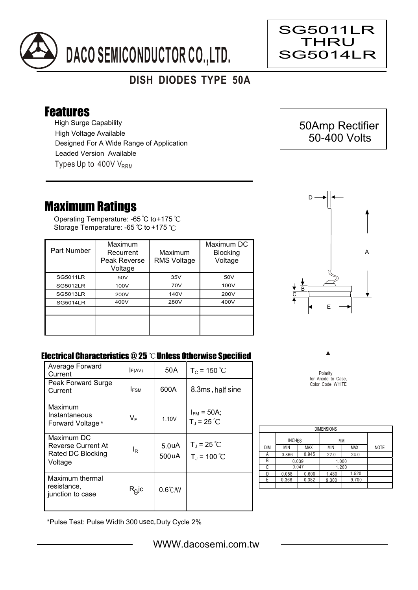

## **DISH DIODES TYPE 50A**

## Features

High Surge Capability Types Up to  $400V$  V<sub>RRM</sub> High Voltage Available Designed For A Wide Range of Application Leaded Version Available

## Maximum Ratings

Operating Temperature: -65 C to +175 Storage Temperature: -65 °C to +175 °C

| Part Number     | Maximum<br>Recurrent<br>Peak Reverse<br>Voltage | Maximum<br><b>RMS Voltage</b> | Maximum DC<br><b>Blocking</b><br>Voltage |
|-----------------|-------------------------------------------------|-------------------------------|------------------------------------------|
| <b>SG5011LR</b> | 50V                                             | 35V                           | 50V                                      |
| <b>SG5012LR</b> | 100V                                            | 70V                           | 100V                                     |
| <b>SG5013LR</b> | 200V                                            | 140V                          | 200V                                     |
| <b>SG5014LR</b> | 400V                                            | 280V                          | 400V                                     |
|                 |                                                 |                               |                                          |
|                 |                                                 |                               |                                          |
|                 |                                                 |                               |                                          |



 50Amp Rectifier 50-400 Volts

SG5011LR THRU SG5014LR

Ξ

## Electrical Characteristics  $@25$   $^{\circ}\text{C}$  Unless Otherwise Specified

| Average Forward<br>Current                                       | F(AV)          | 50 A                        | $T_c = 150 °C$                          |
|------------------------------------------------------------------|----------------|-----------------------------|-----------------------------------------|
| Peak Forward Surge<br>Current                                    | <b>IFSM</b>    | 600A                        | 8.3ms, half sine                        |
| Maximum<br>Instantaneous<br>Forward Voltage*                     | $V_F$          | 1.10V                       | $I_{FM}$ = 50A;<br>$T_{J}$ = 25 °C      |
| Maximum DC<br>Reverse Current At<br>Rated DC Blocking<br>Voltage | l <sub>R</sub> | 5.0 <sub>u</sub> A<br>500uA | $T_{\rm J}$ = 25 °C<br>$T_{J}$ = 100 °C |
| Maximum thermal<br>resistance,<br>junction to case               | $R_Q$ jc       | $0.6^{\circ}$ C/W           |                                         |



Polarity for Anode to Case, Color Code WHITE

| <b>DIMENSIONS</b> |               |            |       |            |             |  |  |  |  |
|-------------------|---------------|------------|-------|------------|-------------|--|--|--|--|
|                   | <b>INCHES</b> |            | МM    |            |             |  |  |  |  |
| <b>DIM</b>        | MIN           | <b>MAX</b> | MIN   | <b>MAX</b> | <b>NOTE</b> |  |  |  |  |
| А                 | 0.866         | 0.945      | 22.0  | 24.0       |             |  |  |  |  |
| В                 | 0.039         |            | 1.000 |            |             |  |  |  |  |
| C                 | 0.047         |            | 1.200 |            |             |  |  |  |  |
| n                 | 0.058         | 0.600      | 1.480 | 1.520      |             |  |  |  |  |
| F                 | 0.366         | 0.382      | 9.300 | 9.700      |             |  |  |  |  |
|                   |               |            |       |            |             |  |  |  |  |

\*Pulse Test: Pulse Width 300 usec,Duty Cycle 2%